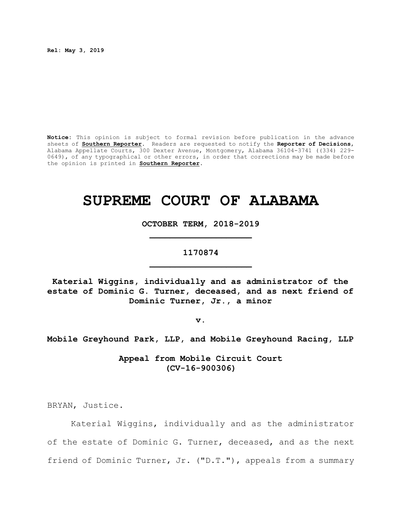**Rel: May 3, 2019**

**Notice:** This opinion is subject to formal revision before publication in the advance sheets of **Southern Reporter**. Readers are requested to notify the **Reporter of Decisions**, Alabama Appellate Courts, 300 Dexter Avenue, Montgomery, Alabama 36104-3741 ((334) 229- 0649), of any typographical or other errors, in order that corrections may be made before the opinion is printed in **Southern Reporter**.

# **SUPREME COURT OF ALABAMA**

**OCTOBER TERM, 2018-2019 \_\_\_\_\_\_\_\_\_\_\_\_\_\_\_\_\_\_\_\_**

# **1170874 \_\_\_\_\_\_\_\_\_\_\_\_\_\_\_\_\_\_\_\_**

**Katerial Wiggins, individually and as administrator of the estate of Dominic G. Turner, deceased, and as next friend of Dominic Turner, Jr., a minor**

**v.**

**Mobile Greyhound Park, LLP, and Mobile Greyhound Racing, LLP**

**Appeal from Mobile Circuit Court (CV-16-900306)**

BRYAN, Justice.

Katerial Wiggins, individually and as the administrator of the estate of Dominic G. Turner, deceased, and as the next friend of Dominic Turner, Jr. ("D.T."), appeals from a summary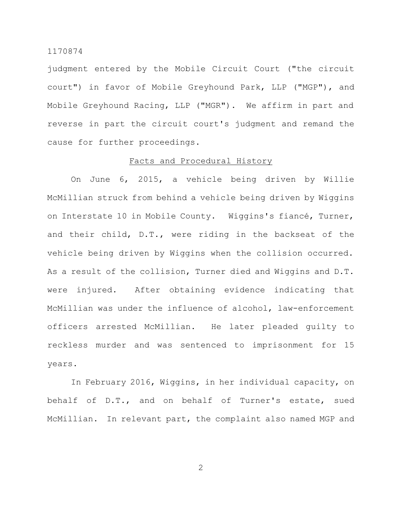judgment entered by the Mobile Circuit Court ("the circuit court") in favor of Mobile Greyhound Park, LLP ("MGP"), and Mobile Greyhound Racing, LLP ("MGR"). We affirm in part and reverse in part the circuit court's judgment and remand the cause for further proceedings.

#### Facts and Procedural History

On June 6, 2015, a vehicle being driven by Willie McMillian struck from behind a vehicle being driven by Wiggins on Interstate 10 in Mobile County. Wiggins's fiancé, Turner, and their child, D.T., were riding in the backseat of the vehicle being driven by Wiggins when the collision occurred. As a result of the collision, Turner died and Wiggins and D.T. were injured. After obtaining evidence indicating that McMillian was under the influence of alcohol, law-enforcement officers arrested McMillian. He later pleaded guilty to reckless murder and was sentenced to imprisonment for 15 years.

In February 2016, Wiggins, in her individual capacity, on behalf of D.T., and on behalf of Turner's estate, sued McMillian. In relevant part, the complaint also named MGP and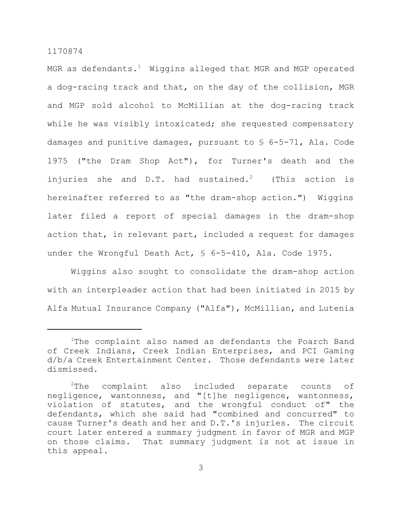MGR as defendants.<sup>1</sup> Wiggins alleged that MGR and MGP operated a dog-racing track and that, on the day of the collision, MGR and MGP sold alcohol to McMillian at the dog-racing track while he was visibly intoxicated; she requested compensatory damages and punitive damages, pursuant to § 6-5-71, Ala. Code 1975 ("the Dram Shop Act"), for Turner's death and the injuries she and  $D.T.$  had sustained.<sup>2</sup> (This action is hereinafter referred to as "the dram-shop action.") Wiggins later filed a report of special damages in the dram-shop action that, in relevant part, included a request for damages under the Wrongful Death Act, § 6-5-410, Ala. Code 1975.

Wiggins also sought to consolidate the dram-shop action with an interpleader action that had been initiated in 2015 by Alfa Mutual Insurance Company ("Alfa"), McMillian, and Lutenia

<sup>&</sup>lt;sup>1</sup>The complaint also named as defendants the Poarch Band of Creek Indians, Creek Indian Enterprises, and PCI Gaming d/b/a Creek Entertainment Center. Those defendants were later dismissed.

 $2$ The complaint also included separate counts of negligence, wantonness, and "[t]he negligence, wantonness, violation of statutes, and the wrongful conduct of" the defendants, which she said had "combined and concurred" to cause Turner's death and her and D.T.'s injuries. The circuit court later entered a summary judgment in favor of MGR and MGP on those claims. That summary judgment is not at issue in this appeal.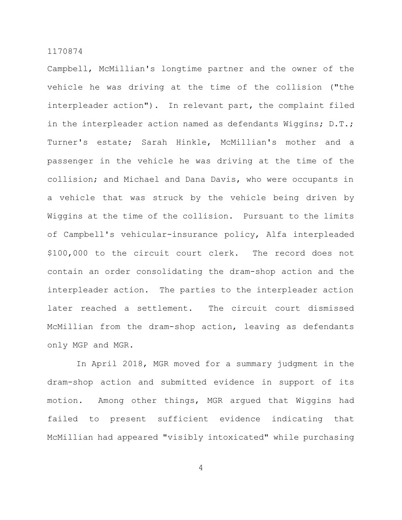Campbell, McMillian's longtime partner and the owner of the vehicle he was driving at the time of the collision ("the interpleader action"). In relevant part, the complaint filed in the interpleader action named as defendants Wiggins; D.T.; Turner's estate; Sarah Hinkle, McMillian's mother and a passenger in the vehicle he was driving at the time of the collision; and Michael and Dana Davis, who were occupants in a vehicle that was struck by the vehicle being driven by Wiggins at the time of the collision. Pursuant to the limits of Campbell's vehicular-insurance policy, Alfa interpleaded \$100,000 to the circuit court clerk. The record does not contain an order consolidating the dram-shop action and the interpleader action. The parties to the interpleader action later reached a settlement. The circuit court dismissed McMillian from the dram-shop action, leaving as defendants only MGP and MGR.

In April 2018, MGR moved for a summary judgment in the dram-shop action and submitted evidence in support of its motion. Among other things, MGR argued that Wiggins had failed to present sufficient evidence indicating that McMillian had appeared "visibly intoxicated" while purchasing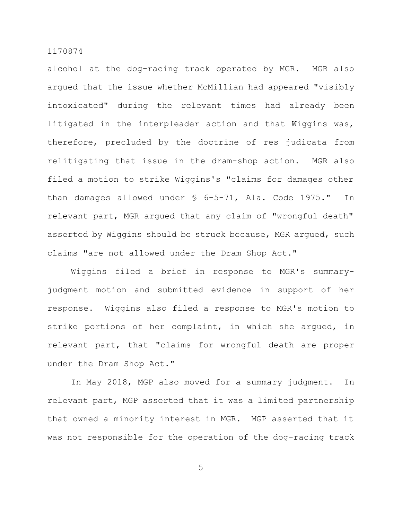alcohol at the dog-racing track operated by MGR. MGR also argued that the issue whether McMillian had appeared "visibly intoxicated" during the relevant times had already been litigated in the interpleader action and that Wiggins was, therefore, precluded by the doctrine of res judicata from relitigating that issue in the dram-shop action. MGR also filed a motion to strike Wiggins's "claims for damages other than damages allowed under § 6-5-71, Ala. Code 1975." In relevant part, MGR argued that any claim of "wrongful death" asserted by Wiggins should be struck because, MGR argued, such claims "are not allowed under the Dram Shop Act."

Wiggins filed a brief in response to MGR's summaryjudgment motion and submitted evidence in support of her response. Wiggins also filed a response to MGR's motion to strike portions of her complaint, in which she argued, in relevant part, that "claims for wrongful death are proper under the Dram Shop Act."

In May 2018, MGP also moved for a summary judgment. In relevant part, MGP asserted that it was a limited partnership that owned a minority interest in MGR. MGP asserted that it was not responsible for the operation of the dog-racing track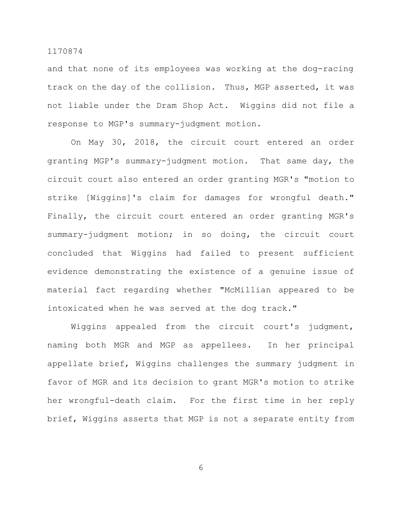and that none of its employees was working at the dog-racing track on the day of the collision. Thus, MGP asserted, it was not liable under the Dram Shop Act. Wiggins did not file a response to MGP's summary-judgment motion.

On May 30, 2018, the circuit court entered an order granting MGP's summary-judgment motion. That same day, the circuit court also entered an order granting MGR's "motion to strike [Wiggins]'s claim for damages for wrongful death." Finally, the circuit court entered an order granting MGR's summary-judgment motion; in so doing, the circuit court concluded that Wiggins had failed to present sufficient evidence demonstrating the existence of a genuine issue of material fact regarding whether "McMillian appeared to be intoxicated when he was served at the dog track."

Wiggins appealed from the circuit court's judgment, naming both MGR and MGP as appellees. In her principal appellate brief, Wiggins challenges the summary judgment in favor of MGR and its decision to grant MGR's motion to strike her wrongful-death claim. For the first time in her reply brief, Wiggins asserts that MGP is not a separate entity from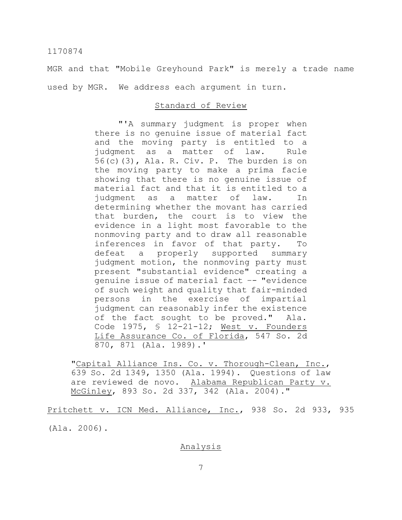MGR and that "Mobile Greyhound Park" is merely a trade name used by MGR. We address each argument in turn.

## Standard of Review

"'A summary judgment is proper when there is no genuine issue of material fact and the moving party is entitled to a judgment as a matter of law. Rule 56(c)(3), Ala. R. Civ. P. The burden is on the moving party to make a prima facie showing that there is no genuine issue of material fact and that it is entitled to a judgment as a matter of law. In determining whether the movant has carried that burden, the court is to view the evidence in a light most favorable to the nonmoving party and to draw all reasonable inferences in favor of that party. To defeat a properly supported summary judgment motion, the nonmoving party must present "substantial evidence" creating a genuine issue of material fact –- "evidence of such weight and quality that fair-minded persons in the exercise of impartial judgment can reasonably infer the existence of the fact sought to be proved." Ala. Code 1975, § 12-21-12; West v. Founders Life Assurance Co. of Florida, 547 So. 2d 870, 871 (Ala. 1989).'

"Capital Alliance Ins. Co. v. Thorough-Clean, Inc., 639 So. 2d 1349, 1350 (Ala. 1994). Questions of law are reviewed de novo. Alabama Republican Party v. McGinley, 893 So. 2d 337, 342 (Ala. 2004)."

Pritchett v. ICN Med. Alliance, Inc., 938 So. 2d 933, 935 (Ala. 2006).

#### Analysis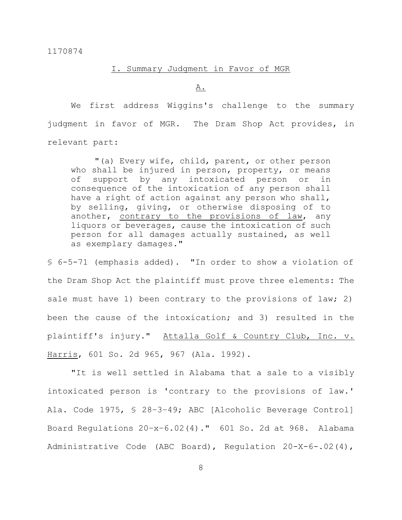## I. Summary Judgment in Favor of MGR

A.

We first address Wiggins's challenge to the summary judgment in favor of MGR. The Dram Shop Act provides, in relevant part:

"(a) Every wife, child, parent, or other person who shall be injured in person, property, or means of support by any intoxicated person or in consequence of the intoxication of any person shall have a right of action against any person who shall, by selling, giving, or otherwise disposing of to another, contrary to the provisions of law, any liquors or beverages, cause the intoxication of such person for all damages actually sustained, as well as exemplary damages."

§ 6-5-71 (emphasis added). "In order to show a violation of the Dram Shop Act the plaintiff must prove three elements: The sale must have 1) been contrary to the provisions of law; 2) been the cause of the intoxication; and 3) resulted in the plaintiff's injury." Attalla Golf & Country Club, Inc. v. Harris, 601 So. 2d 965, 967 (Ala. 1992).

"It is well settled in Alabama that a sale to a visibly intoxicated person is 'contrary to the provisions of law.' Ala. Code 1975, § 28–3–49; ABC [Alcoholic Beverage Control] Board Regulations 20–x–6.02(4)." 601 So. 2d at 968. Alabama Administrative Code (ABC Board), Regulation 20-X-6-.02(4),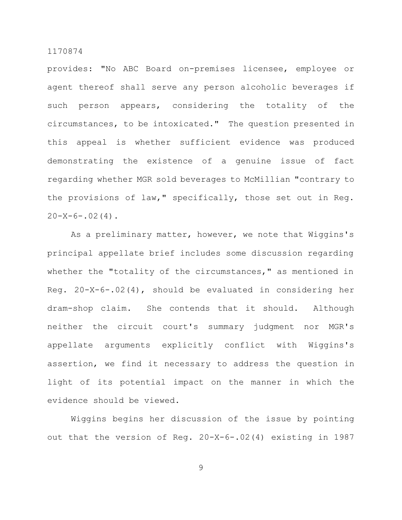provides: "No ABC Board on-premises licensee, employee or agent thereof shall serve any person alcoholic beverages if such person appears, considering the totality of the circumstances, to be intoxicated." The question presented in this appeal is whether sufficient evidence was produced demonstrating the existence of a genuine issue of fact regarding whether MGR sold beverages to McMillian "contrary to the provisions of law," specifically, those set out in Reg.  $20-X-6-.02(4)$ .

As a preliminary matter, however, we note that Wiggins's principal appellate brief includes some discussion regarding whether the "totality of the circumstances," as mentioned in Reg. 20-X-6-.02(4), should be evaluated in considering her dram-shop claim. She contends that it should. Although neither the circuit court's summary judgment nor MGR's appellate arguments explicitly conflict with Wiggins's assertion, we find it necessary to address the question in light of its potential impact on the manner in which the evidence should be viewed.

Wiggins begins her discussion of the issue by pointing out that the version of Reg. 20-X-6-.02(4) existing in 1987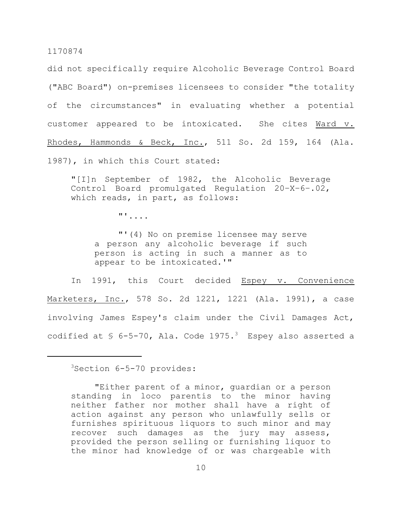did not specifically require Alcoholic Beverage Control Board ("ABC Board") on-premises licensees to consider "the totality of the circumstances" in evaluating whether a potential customer appeared to be intoxicated. She cites Ward v. Rhodes, Hammonds & Beck, Inc., 511 So. 2d 159, 164 (Ala. 1987), in which this Court stated:

"[I]n September of 1982, the Alcoholic Beverage Control Board promulgated Regulation 20–X–6–.02, which reads, in part, as follows:

"'....

"'(4) No on premise licensee may serve a person any alcoholic beverage if such person is acting in such a manner as to appear to be intoxicated.'"

In 1991, this Court decided Espey v. Convenience Marketers, Inc., 578 So. 2d 1221, 1221 (Ala. 1991), a case involving James Espey's claim under the Civil Damages Act, codified at  $$$  6-5-70, Ala. Code 1975.<sup>3</sup> Espey also asserted a

<sup>3</sup>Section 6-5-70 provides:

<sup>&</sup>quot;Either parent of a minor, guardian or a person standing in loco parentis to the minor having neither father nor mother shall have a right of action against any person who unlawfully sells or furnishes spirituous liquors to such minor and may recover such damages as the jury may assess, provided the person selling or furnishing liquor to the minor had knowledge of or was chargeable with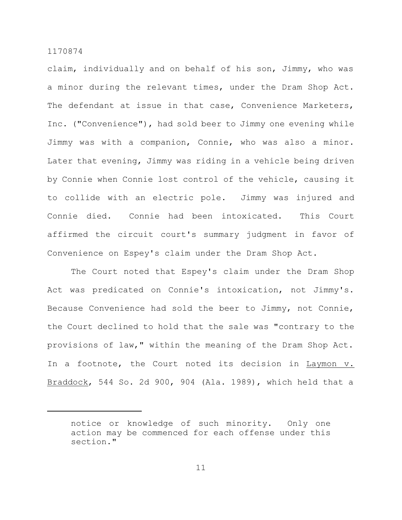claim, individually and on behalf of his son, Jimmy, who was a minor during the relevant times, under the Dram Shop Act. The defendant at issue in that case, Convenience Marketers, Inc. ("Convenience"), had sold beer to Jimmy one evening while Jimmy was with a companion, Connie, who was also a minor. Later that evening, Jimmy was riding in a vehicle being driven by Connie when Connie lost control of the vehicle, causing it to collide with an electric pole. Jimmy was injured and Connie died. Connie had been intoxicated. This Court affirmed the circuit court's summary judgment in favor of Convenience on Espey's claim under the Dram Shop Act.

The Court noted that Espey's claim under the Dram Shop Act was predicated on Connie's intoxication, not Jimmy's. Because Convenience had sold the beer to Jimmy, not Connie, the Court declined to hold that the sale was "contrary to the provisions of law," within the meaning of the Dram Shop Act. In a footnote, the Court noted its decision in Laymon v. Braddock, 544 So. 2d 900, 904 (Ala. 1989), which held that a

notice or knowledge of such minority. Only one action may be commenced for each offense under this section."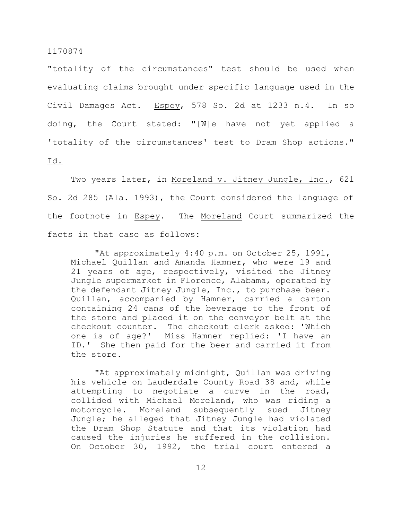"totality of the circumstances" test should be used when evaluating claims brought under specific language used in the Civil Damages Act. Espey, 578 So. 2d at 1233 n.4. In so doing, the Court stated: "[W]e have not yet applied a 'totality of the circumstances' test to Dram Shop actions."

### Id.

Two years later, in Moreland v. Jitney Jungle, Inc., 621 So. 2d 285 (Ala. 1993), the Court considered the language of the footnote in Espey. The Moreland Court summarized the facts in that case as follows:

"At approximately 4:40 p.m. on October 25, 1991, Michael Quillan and Amanda Hamner, who were 19 and 21 years of age, respectively, visited the Jitney Jungle supermarket in Florence, Alabama, operated by the defendant Jitney Jungle, Inc., to purchase beer. Quillan, accompanied by Hamner, carried a carton containing 24 cans of the beverage to the front of the store and placed it on the conveyor belt at the checkout counter. The checkout clerk asked: 'Which one is of age?' Miss Hamner replied: 'I have an ID.' She then paid for the beer and carried it from the store.

"At approximately midnight, Quillan was driving his vehicle on Lauderdale County Road 38 and, while attempting to negotiate a curve in the road, collided with Michael Moreland, who was riding a motorcycle. Moreland subsequently sued Jitney Jungle; he alleged that Jitney Jungle had violated the Dram Shop Statute and that its violation had caused the injuries he suffered in the collision. On October 30, 1992, the trial court entered a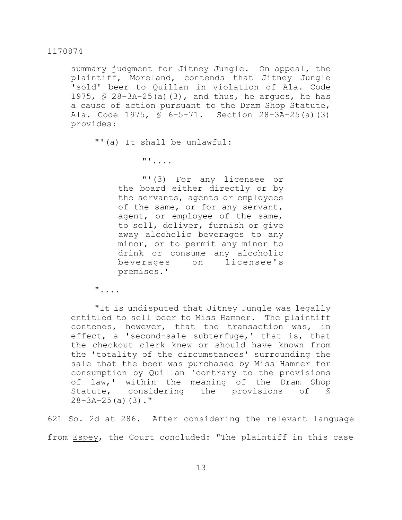summary judgment for Jitney Jungle. On appeal, the plaintiff, Moreland, contends that Jitney Jungle 'sold' beer to Quillan in violation of Ala. Code 1975,  $\frac{1}{5}$  28-3A-25(a)(3), and thus, he argues, he has a cause of action pursuant to the Dram Shop Statute, Ala. Code 1975, § 6–5–71. Section 28–3A–25(a)(3) provides:

"'(a) It shall be unlawful:

"'....

"'(3) For any licensee or the board either directly or by the servants, agents or employees of the same, or for any servant, agent, or employee of the same, to sell, deliver, furnish or give away alcoholic beverages to any minor, or to permit any minor to drink or consume any alcoholic beverages on licensee's premises.'

"....

"It is undisputed that Jitney Jungle was legally entitled to sell beer to Miss Hamner. The plaintiff contends, however, that the transaction was, in effect, a 'second-sale subterfuge,' that is, that the checkout clerk knew or should have known from the 'totality of the circumstances' surrounding the sale that the beer was purchased by Miss Hamner for consumption by Quillan 'contrary to the provisions of law,' within the meaning of the Dram Shop Statute, considering the provisions of §  $28 - 3A - 25(a)(3)$ ."

621 So. 2d at 286. After considering the relevant language from Espey, the Court concluded: "The plaintiff in this case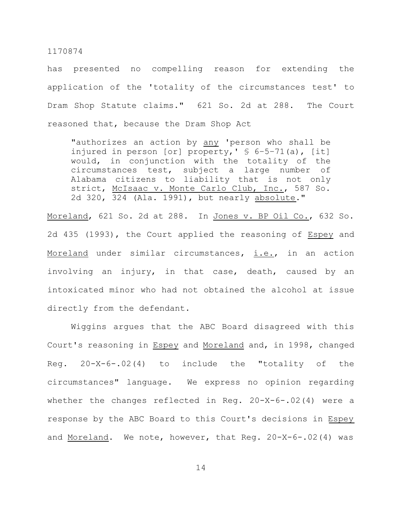has presented no compelling reason for extending the application of the 'totality of the circumstances test' to Dram Shop Statute claims." 621 So. 2d at 288. The Court reasoned that, because the Dram Shop Act

"authorizes an action by any 'person who shall be injured in person [or] property, '  $\frac{1}{2}$  6-5-71(a), [it] would, in conjunction with the totality of the circumstances test, subject a large number of Alabama citizens to liability that is not only strict, McIsaac v. Monte Carlo Club, Inc., 587 So. 2d 320, 324 (Ala. 1991), but nearly absolute."

Moreland, 621 So. 2d at 288. In Jones v. BP Oil Co., 632 So. 2d 435 (1993), the Court applied the reasoning of Espey and Moreland under similar circumstances, i.e., in an action involving an injury, in that case, death, caused by an intoxicated minor who had not obtained the alcohol at issue directly from the defendant.

Wiggins argues that the ABC Board disagreed with this Court's reasoning in Espey and Moreland and, in 1998, changed Reg. 20-X-6-.02(4) to include the "totality of the circumstances" language. We express no opinion regarding whether the changes reflected in Reg. 20-X-6-.02(4) were a response by the ABC Board to this Court's decisions in Espey and Moreland. We note, however, that Reg. 20-X-6-.02(4) was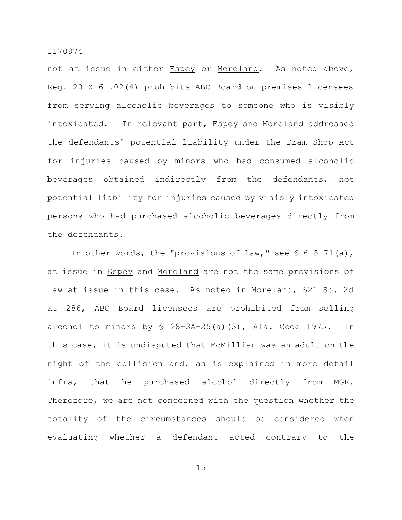not at issue in either Espey or Moreland. As noted above, Reg. 20-X-6-.02(4) prohibits ABC Board on-premises licensees from serving alcoholic beverages to someone who is visibly intoxicated. In relevant part, Espey and Moreland addressed the defendants' potential liability under the Dram Shop Act for injuries caused by minors who had consumed alcoholic beverages obtained indirectly from the defendants, not potential liability for injuries caused by visibly intoxicated persons who had purchased alcoholic beverages directly from the defendants.

In other words, the "provisions of law," see  $\frac{1}{5}$  6-5-71(a), at issue in Espey and Moreland are not the same provisions of law at issue in this case. As noted in Moreland, 621 So. 2d at 286, ABC Board licensees are prohibited from selling alcohol to minors by  $$ 28-3A-25(a)(3)$ , Ala. Code 1975. In this case, it is undisputed that McMillian was an adult on the night of the collision and, as is explained in more detail infra, that he purchased alcohol directly from MGR. Therefore, we are not concerned with the question whether the totality of the circumstances should be considered when evaluating whether a defendant acted contrary to the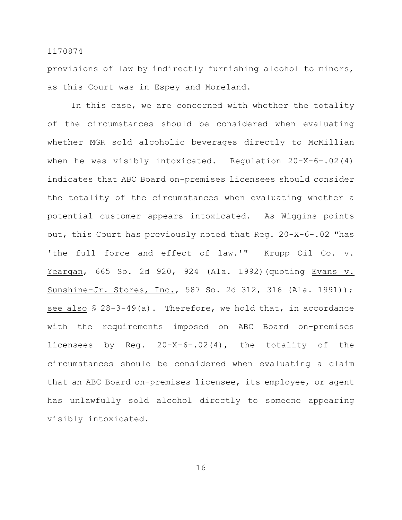provisions of law by indirectly furnishing alcohol to minors, as this Court was in Espey and Moreland.

In this case, we are concerned with whether the totality of the circumstances should be considered when evaluating whether MGR sold alcoholic beverages directly to McMillian when he was visibly intoxicated. Regulation 20-X-6-.02(4) indicates that ABC Board on-premises licensees should consider the totality of the circumstances when evaluating whether a potential customer appears intoxicated. As Wiggins points out, this Court has previously noted that Reg. 20-X-6-.02 "has 'the full force and effect of law.'" Krupp Oil Co. v. Yeargan, 665 So. 2d 920, 924 (Ala. 1992)(quoting Evans v. Sunshine–Jr. Stores, Inc., 587 So. 2d 312, 316 (Ala. 1991)); see also  $$ 28-3-49(a)$ . Therefore, we hold that, in accordance with the requirements imposed on ABC Board on-premises licensees by Reg. 20-X-6-.02(4), the totality of the circumstances should be considered when evaluating a claim that an ABC Board on-premises licensee, its employee, or agent has unlawfully sold alcohol directly to someone appearing visibly intoxicated.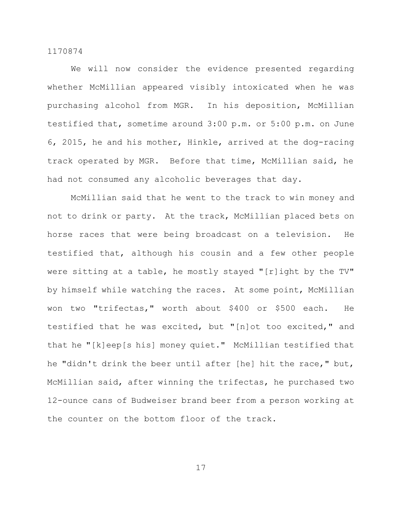We will now consider the evidence presented regarding whether McMillian appeared visibly intoxicated when he was purchasing alcohol from MGR. In his deposition, McMillian testified that, sometime around 3:00 p.m. or 5:00 p.m. on June 6, 2015, he and his mother, Hinkle, arrived at the dog-racing track operated by MGR. Before that time, McMillian said, he had not consumed any alcoholic beverages that day.

McMillian said that he went to the track to win money and not to drink or party. At the track, McMillian placed bets on horse races that were being broadcast on a television. He testified that, although his cousin and a few other people were sitting at a table, he mostly stayed "[r]ight by the TV" by himself while watching the races. At some point, McMillian won two "trifectas," worth about \$400 or \$500 each. He testified that he was excited, but "[n]ot too excited," and that he "[k]eep[s his] money quiet." McMillian testified that he "didn't drink the beer until after [he] hit the race," but, McMillian said, after winning the trifectas, he purchased two 12-ounce cans of Budweiser brand beer from a person working at the counter on the bottom floor of the track.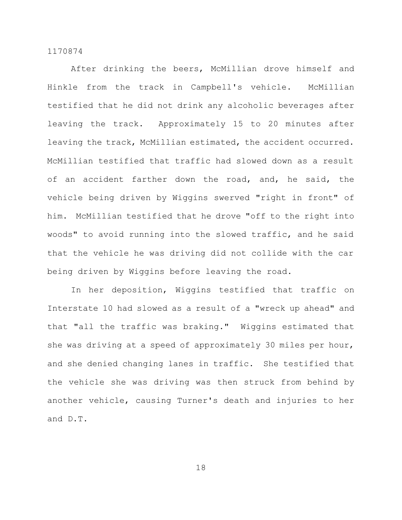After drinking the beers, McMillian drove himself and Hinkle from the track in Campbell's vehicle. McMillian testified that he did not drink any alcoholic beverages after leaving the track. Approximately 15 to 20 minutes after leaving the track, McMillian estimated, the accident occurred. McMillian testified that traffic had slowed down as a result of an accident farther down the road, and, he said, the vehicle being driven by Wiggins swerved "right in front" of him. McMillian testified that he drove "off to the right into woods" to avoid running into the slowed traffic, and he said that the vehicle he was driving did not collide with the car being driven by Wiggins before leaving the road.

In her deposition, Wiggins testified that traffic on Interstate 10 had slowed as a result of a "wreck up ahead" and that "all the traffic was braking." Wiggins estimated that she was driving at a speed of approximately 30 miles per hour, and she denied changing lanes in traffic. She testified that the vehicle she was driving was then struck from behind by another vehicle, causing Turner's death and injuries to her and D.T.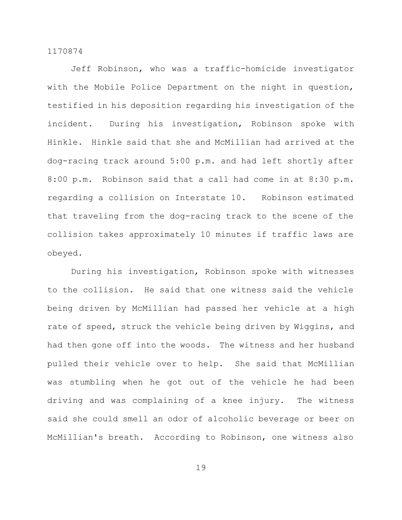Jeff Robinson, who was a traffic-homicide investigator with the Mobile Police Department on the night in question, testified in his deposition regarding his investigation of the incident. During his investigation, Robinson spoke with Hinkle. Hinkle said that she and McMillian had arrived at the dog-racing track around 5:00 p.m. and had left shortly after 8:00 p.m. Robinson said that a call had come in at 8:30 p.m. regarding a collision on Interstate 10. Robinson estimated that traveling from the dog-racing track to the scene of the collision takes approximately 10 minutes if traffic laws are obeyed.

During his investigation, Robinson spoke with witnesses to the collision. He said that one witness said the vehicle being driven by McMillian had passed her vehicle at a high rate of speed, struck the vehicle being driven by Wiggins, and had then gone off into the woods. The witness and her husband pulled their vehicle over to help. She said that McMillian was stumbling when he got out of the vehicle he had been driving and was complaining of a knee injury. The witness said she could smell an odor of alcoholic beverage or beer on McMillian's breath. According to Robinson, one witness also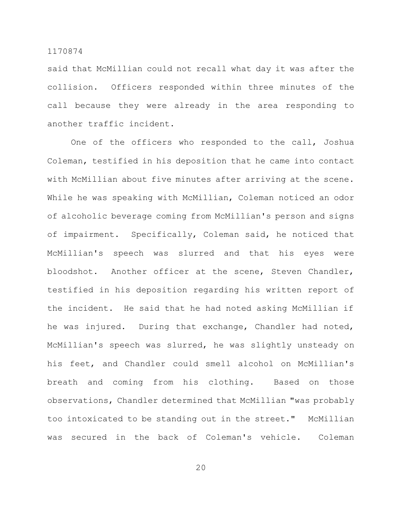said that McMillian could not recall what day it was after the collision. Officers responded within three minutes of the call because they were already in the area responding to another traffic incident.

One of the officers who responded to the call, Joshua Coleman, testified in his deposition that he came into contact with McMillian about five minutes after arriving at the scene. While he was speaking with McMillian, Coleman noticed an odor of alcoholic beverage coming from McMillian's person and signs of impairment. Specifically, Coleman said, he noticed that McMillian's speech was slurred and that his eyes were bloodshot. Another officer at the scene, Steven Chandler, testified in his deposition regarding his written report of the incident. He said that he had noted asking McMillian if he was injured. During that exchange, Chandler had noted, McMillian's speech was slurred, he was slightly unsteady on his feet, and Chandler could smell alcohol on McMillian's breath and coming from his clothing. Based on those observations, Chandler determined that McMillian "was probably too intoxicated to be standing out in the street." McMillian was secured in the back of Coleman's vehicle. Coleman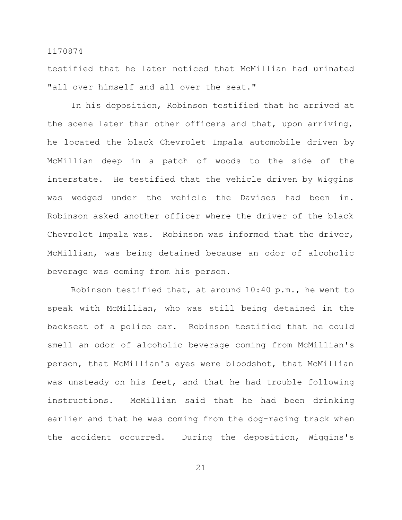testified that he later noticed that McMillian had urinated "all over himself and all over the seat."

In his deposition, Robinson testified that he arrived at the scene later than other officers and that, upon arriving, he located the black Chevrolet Impala automobile driven by McMillian deep in a patch of woods to the side of the interstate. He testified that the vehicle driven by Wiggins was wedged under the vehicle the Davises had been in. Robinson asked another officer where the driver of the black Chevrolet Impala was. Robinson was informed that the driver, McMillian, was being detained because an odor of alcoholic beverage was coming from his person.

Robinson testified that, at around 10:40 p.m., he went to speak with McMillian, who was still being detained in the backseat of a police car. Robinson testified that he could smell an odor of alcoholic beverage coming from McMillian's person, that McMillian's eyes were bloodshot, that McMillian was unsteady on his feet, and that he had trouble following instructions. McMillian said that he had been drinking earlier and that he was coming from the dog-racing track when the accident occurred. During the deposition, Wiggins's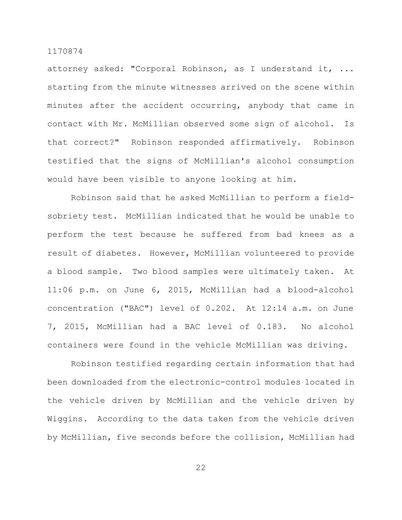attorney asked: "Corporal Robinson, as I understand it, ... starting from the minute witnesses arrived on the scene within minutes after the accident occurring, anybody that came in contact with Mr. McMillian observed some sign of alcohol. Is that correct?" Robinson responded affirmatively. Robinson testified that the signs of McMillian's alcohol consumption would have been visible to anyone looking at him.

Robinson said that he asked McMillian to perform a fieldsobriety test. McMillian indicated that he would be unable to perform the test because he suffered from bad knees as a result of diabetes. However, McMillian volunteered to provide a blood sample. Two blood samples were ultimately taken. At 11:06 p.m. on June 6, 2015, McMillian had a blood-alcohol concentration ("BAC") level of 0.202. At 12:14 a.m. on June 7, 2015, McMillian had a BAC level of 0.183. No alcohol containers were found in the vehicle McMillian was driving.

Robinson testified regarding certain information that had been downloaded from the electronic-control modules located in the vehicle driven by McMillian and the vehicle driven by Wiggins. According to the data taken from the vehicle driven by McMillian, five seconds before the collision, McMillian had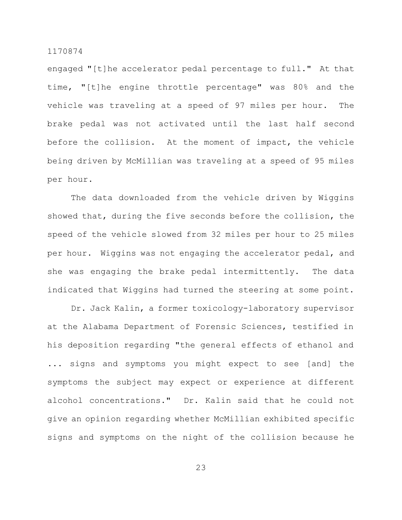engaged "[t]he accelerator pedal percentage to full." At that time, "[t]he engine throttle percentage" was 80% and the vehicle was traveling at a speed of 97 miles per hour. The brake pedal was not activated until the last half second before the collision. At the moment of impact, the vehicle being driven by McMillian was traveling at a speed of 95 miles per hour.

The data downloaded from the vehicle driven by Wiggins showed that, during the five seconds before the collision, the speed of the vehicle slowed from 32 miles per hour to 25 miles per hour. Wiggins was not engaging the accelerator pedal, and she was engaging the brake pedal intermittently. The data indicated that Wiggins had turned the steering at some point.

Dr. Jack Kalin, a former toxicology-laboratory supervisor at the Alabama Department of Forensic Sciences, testified in his deposition regarding "the general effects of ethanol and ... signs and symptoms you might expect to see [and] the symptoms the subject may expect or experience at different alcohol concentrations." Dr. Kalin said that he could not give an opinion regarding whether McMillian exhibited specific signs and symptoms on the night of the collision because he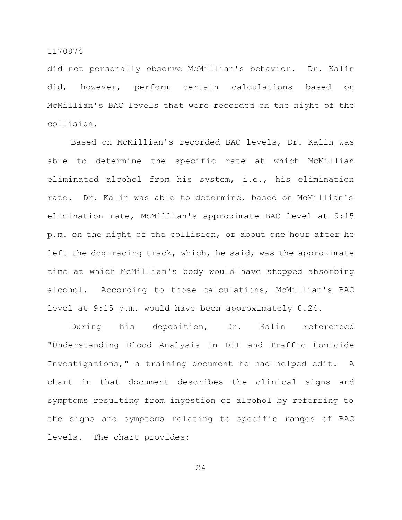did not personally observe McMillian's behavior. Dr. Kalin did, however, perform certain calculations based on McMillian's BAC levels that were recorded on the night of the collision.

Based on McMillian's recorded BAC levels, Dr. Kalin was able to determine the specific rate at which McMillian eliminated alcohol from his system, *i.e.*, his elimination rate. Dr. Kalin was able to determine, based on McMillian's elimination rate, McMillian's approximate BAC level at 9:15 p.m. on the night of the collision, or about one hour after he left the dog-racing track, which, he said, was the approximate time at which McMillian's body would have stopped absorbing alcohol. According to those calculations, McMillian's BAC level at 9:15 p.m. would have been approximately 0.24.

During his deposition, Dr. Kalin referenced "Understanding Blood Analysis in DUI and Traffic Homicide Investigations," a training document he had helped edit. A chart in that document describes the clinical signs and symptoms resulting from ingestion of alcohol by referring to the signs and symptoms relating to specific ranges of BAC levels. The chart provides: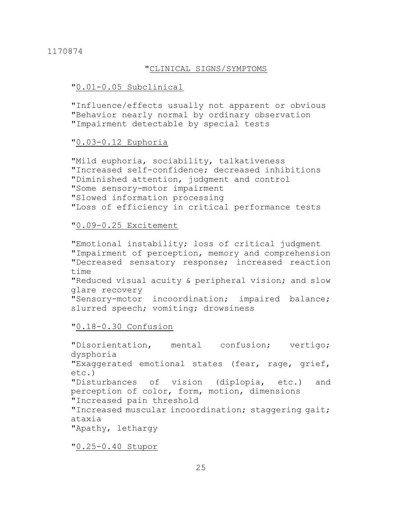### "CLINICAL SIGNS/SYMPTOMS

#### "0.01-0.05 Subclinical

"Influence/effects usually not apparent or obvious "Behavior nearly normal by ordinary observation "Impairment detectable by special tests

## "0.03-0.12 Euphoria

"Mild euphoria, sociability, talkativeness "Increased self-confidence; decreased inhibitions "Diminished attention, judgment and control "Some sensory-motor impairment "Slowed information processing "Loss of efficiency in critical performance tests

## "0.09-0.25 Excitement

"Emotional instability; loss of critical judgment "Impairment of perception, memory and comprehension "Decreased sensatory response; increased reaction time "Reduced visual acuity & peripheral vision; and slow glare recovery "Sensory-motor incoordination; impaired balance; slurred speech; vomiting; drowsiness

"0.18-0.30 Confusion

"Disorientation, mental confusion; vertigo; dysphoria "Exaggerated emotional states (fear, rage, grief, etc.) "Disturbances of vision (diplopia, etc.) and perception of color, form, motion, dimensions "Increased pain threshold "Increased muscular incoordination; staggering gait; ataxia "Apathy, lethargy

"0.25-0.40 Stupor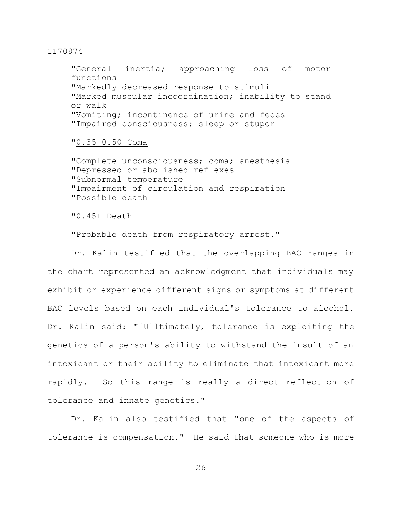"General inertia; approaching loss of motor functions "Markedly decreased response to stimuli "Marked muscular incoordination; inability to stand or walk "Vomiting; incontinence of urine and feces "Impaired consciousness; sleep or stupor

#### "0.35-0.50 Coma

"Complete unconsciousness; coma; anesthesia "Depressed or abolished reflexes "Subnormal temperature "Impairment of circulation and respiration "Possible death

## "0.45+ Death

"Probable death from respiratory arrest."

Dr. Kalin testified that the overlapping BAC ranges in the chart represented an acknowledgment that individuals may exhibit or experience different signs or symptoms at different BAC levels based on each individual's tolerance to alcohol. Dr. Kalin said: "[U]ltimately, tolerance is exploiting the genetics of a person's ability to withstand the insult of an intoxicant or their ability to eliminate that intoxicant more rapidly. So this range is really a direct reflection of tolerance and innate genetics."

Dr. Kalin also testified that "one of the aspects of tolerance is compensation." He said that someone who is more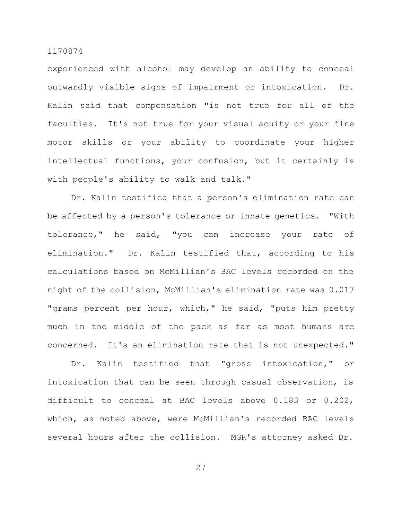experienced with alcohol may develop an ability to conceal outwardly visible signs of impairment or intoxication. Dr. Kalin said that compensation "is not true for all of the faculties. It's not true for your visual acuity or your fine motor skills or your ability to coordinate your higher intellectual functions, your confusion, but it certainly is with people's ability to walk and talk."

Dr. Kalin testified that a person's elimination rate can be affected by a person's tolerance or innate genetics. "With tolerance," he said, "you can increase your rate of elimination." Dr. Kalin testified that, according to his calculations based on McMillian's BAC levels recorded on the night of the collision, McMillian's elimination rate was 0.017 "grams percent per hour, which," he said, "puts him pretty much in the middle of the pack as far as most humans are concerned. It's an elimination rate that is not unexpected."

Dr. Kalin testified that "gross intoxication," or intoxication that can be seen through casual observation, is difficult to conceal at BAC levels above 0.183 or 0.202, which, as noted above, were McMillian's recorded BAC levels several hours after the collision. MGR's attorney asked Dr.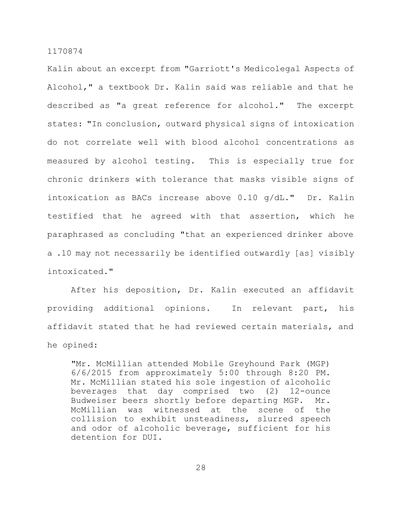Kalin about an excerpt from "Garriott's Medicolegal Aspects of Alcohol," a textbook Dr. Kalin said was reliable and that he described as "a great reference for alcohol." The excerpt states: "In conclusion, outward physical signs of intoxication do not correlate well with blood alcohol concentrations as measured by alcohol testing. This is especially true for chronic drinkers with tolerance that masks visible signs of intoxication as BACs increase above 0.10 g/dL." Dr. Kalin testified that he agreed with that assertion, which he paraphrased as concluding "that an experienced drinker above a .10 may not necessarily be identified outwardly [as] visibly intoxicated."

After his deposition, Dr. Kalin executed an affidavit providing additional opinions. In relevant part, his affidavit stated that he had reviewed certain materials, and he opined:

"Mr. McMillian attended Mobile Greyhound Park (MGP) 6/6/2015 from approximately 5:00 through 8:20 PM. Mr. McMillian stated his sole ingestion of alcoholic beverages that day comprised two (2) 12-ounce Budweiser beers shortly before departing MGP. Mr. McMillian was witnessed at the scene of the collision to exhibit unsteadiness, slurred speech and odor of alcoholic beverage, sufficient for his detention for DUI.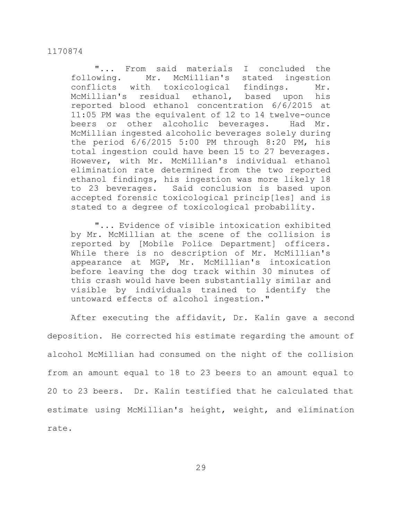"... From said materials I concluded the following. Mr. McMillian's stated ingestion conflicts with toxicological findings. Mr. McMillian's residual ethanol, based upon his reported blood ethanol concentration 6/6/2015 at 11:05 PM was the equivalent of 12 to 14 twelve-ounce beers or other alcoholic beverages. Had Mr. McMillian ingested alcoholic beverages solely during the period 6/6/2015 5:00 PM through 8:20 PM, his total ingestion could have been 15 to 27 beverages. However, with Mr. McMillian's individual ethanol elimination rate determined from the two reported ethanol findings, his ingestion was more likely 18 to 23 beverages. Said conclusion is based upon accepted forensic toxicological princip[les] and is stated to a degree of toxicological probability.

"... Evidence of visible intoxication exhibited by Mr. McMillian at the scene of the collision is reported by [Mobile Police Department] officers. While there is no description of Mr. McMillian's appearance at MGP, Mr. McMillian's intoxication before leaving the dog track within 30 minutes of this crash would have been substantially similar and visible by individuals trained to identify the untoward effects of alcohol ingestion."

After executing the affidavit, Dr. Kalin gave a second deposition. He corrected his estimate regarding the amount of alcohol McMillian had consumed on the night of the collision from an amount equal to 18 to 23 beers to an amount equal to 20 to 23 beers. Dr. Kalin testified that he calculated that estimate using McMillian's height, weight, and elimination rate.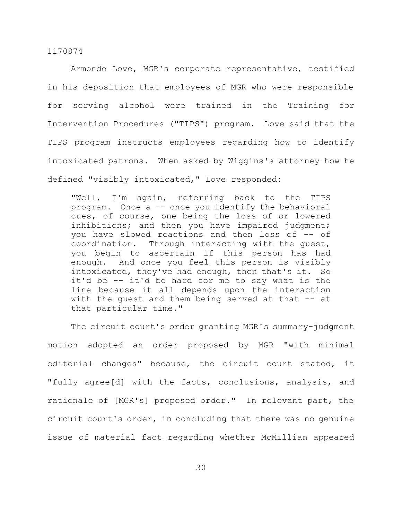Armondo Love, MGR's corporate representative, testified in his deposition that employees of MGR who were responsible for serving alcohol were trained in the Training for Intervention Procedures ("TIPS") program. Love said that the TIPS program instructs employees regarding how to identify intoxicated patrons. When asked by Wiggins's attorney how he defined "visibly intoxicated," Love responded:

"Well, I'm again, referring back to the TIPS program. Once a –- once you identify the behavioral cues, of course, one being the loss of or lowered inhibitions; and then you have impaired judgment; you have slowed reactions and then loss of -- of coordination. Through interacting with the guest, you begin to ascertain if this person has had enough. And once you feel this person is visibly intoxicated, they've had enough, then that's it. So it'd be -- it'd be hard for me to say what is the line because it all depends upon the interaction with the quest and them being served at that -- at that particular time."

The circuit court's order granting MGR's summary-judgment motion adopted an order proposed by MGR "with minimal editorial changes" because, the circuit court stated, it "fully agree[d] with the facts, conclusions, analysis, and rationale of [MGR's] proposed order." In relevant part, the circuit court's order, in concluding that there was no genuine issue of material fact regarding whether McMillian appeared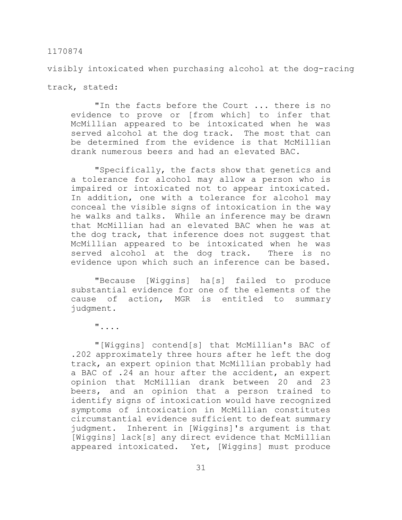visibly intoxicated when purchasing alcohol at the dog-racing

track, stated:

"In the facts before the Court ... there is no evidence to prove or [from which] to infer that McMillian appeared to be intoxicated when he was served alcohol at the dog track. The most that can be determined from the evidence is that McMillian drank numerous beers and had an elevated BAC.

"Specifically, the facts show that genetics and a tolerance for alcohol may allow a person who is impaired or intoxicated not to appear intoxicated. In addition, one with a tolerance for alcohol may conceal the visible signs of intoxication in the way he walks and talks. While an inference may be drawn that McMillian had an elevated BAC when he was at the dog track, that inference does not suggest that McMillian appeared to be intoxicated when he was served alcohol at the dog track. There is no evidence upon which such an inference can be based.

"Because [Wiggins] ha[s] failed to produce substantial evidence for one of the elements of the cause of action, MGR is entitled to summary judgment.

"....

"[Wiggins] contend[s] that McMillian's BAC of .202 approximately three hours after he left the dog track, an expert opinion that McMillian probably had a BAC of .24 an hour after the accident, an expert opinion that McMillian drank between 20 and 23 beers, and an opinion that a person trained to identify signs of intoxication would have recognized symptoms of intoxication in McMillian constitutes circumstantial evidence sufficient to defeat summary judgment. Inherent in [Wiggins]'s argument is that [Wiggins] lack[s] any direct evidence that McMillian appeared intoxicated. Yet, [Wiggins] must produce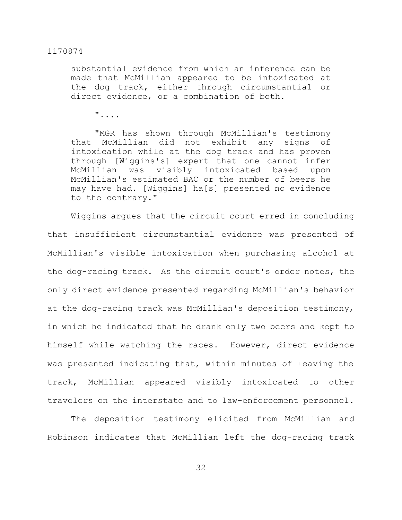substantial evidence from which an inference can be made that McMillian appeared to be intoxicated at the dog track, either through circumstantial or direct evidence, or a combination of both.

"....

"MGR has shown through McMillian's testimony that McMillian did not exhibit any signs of intoxication while at the dog track and has proven through [Wiggins's] expert that one cannot infer McMillian was visibly intoxicated based upon McMillian's estimated BAC or the number of beers he may have had. [Wiggins] ha[s] presented no evidence to the contrary."

Wiggins argues that the circuit court erred in concluding that insufficient circumstantial evidence was presented of McMillian's visible intoxication when purchasing alcohol at the dog-racing track. As the circuit court's order notes, the only direct evidence presented regarding McMillian's behavior at the dog-racing track was McMillian's deposition testimony, in which he indicated that he drank only two beers and kept to himself while watching the races. However, direct evidence was presented indicating that, within minutes of leaving the track, McMillian appeared visibly intoxicated to other travelers on the interstate and to law-enforcement personnel.

The deposition testimony elicited from McMillian and Robinson indicates that McMillian left the dog-racing track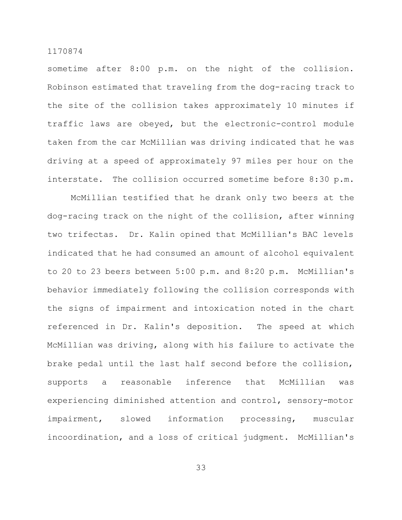sometime after 8:00 p.m. on the night of the collision. Robinson estimated that traveling from the dog-racing track to the site of the collision takes approximately 10 minutes if traffic laws are obeyed, but the electronic-control module taken from the car McMillian was driving indicated that he was driving at a speed of approximately 97 miles per hour on the interstate. The collision occurred sometime before 8:30 p.m.

McMillian testified that he drank only two beers at the dog-racing track on the night of the collision, after winning two trifectas. Dr. Kalin opined that McMillian's BAC levels indicated that he had consumed an amount of alcohol equivalent to 20 to 23 beers between 5:00 p.m. and 8:20 p.m. McMillian's behavior immediately following the collision corresponds with the signs of impairment and intoxication noted in the chart referenced in Dr. Kalin's deposition. The speed at which McMillian was driving, along with his failure to activate the brake pedal until the last half second before the collision, supports a reasonable inference that McMillian was experiencing diminished attention and control, sensory-motor impairment, slowed information processing, muscular incoordination, and a loss of critical judgment. McMillian's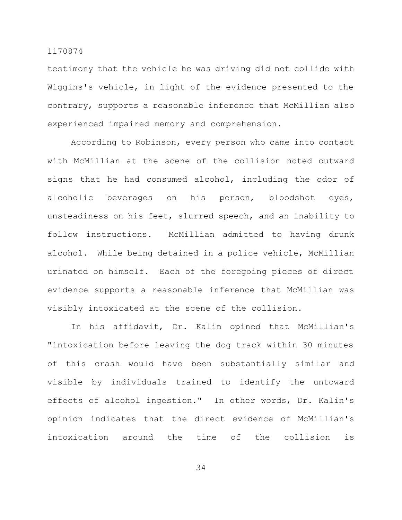testimony that the vehicle he was driving did not collide with Wiggins's vehicle, in light of the evidence presented to the contrary, supports a reasonable inference that McMillian also experienced impaired memory and comprehension.

According to Robinson, every person who came into contact with McMillian at the scene of the collision noted outward signs that he had consumed alcohol, including the odor of alcoholic beverages on his person, bloodshot eyes, unsteadiness on his feet, slurred speech, and an inability to follow instructions. McMillian admitted to having drunk alcohol. While being detained in a police vehicle, McMillian urinated on himself. Each of the foregoing pieces of direct evidence supports a reasonable inference that McMillian was visibly intoxicated at the scene of the collision.

In his affidavit, Dr. Kalin opined that McMillian's "intoxication before leaving the dog track within 30 minutes of this crash would have been substantially similar and visible by individuals trained to identify the untoward effects of alcohol ingestion." In other words, Dr. Kalin's opinion indicates that the direct evidence of McMillian's intoxication around the time of the collision is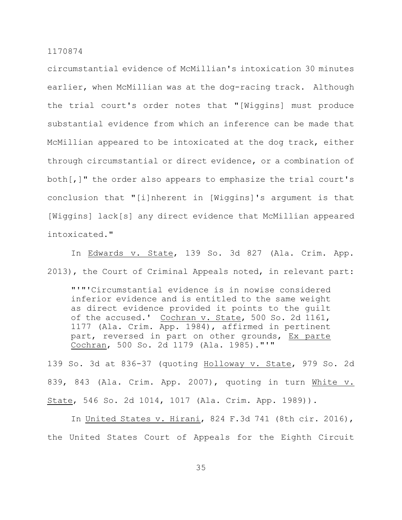circumstantial evidence of McMillian's intoxication 30 minutes earlier, when McMillian was at the dog-racing track. Although the trial court's order notes that "[Wiggins] must produce substantial evidence from which an inference can be made that McMillian appeared to be intoxicated at the dog track, either through circumstantial or direct evidence, or a combination of both[,]" the order also appears to emphasize the trial court's conclusion that "[i]nherent in [Wiggins]'s argument is that [Wiggins] lack[s] any direct evidence that McMillian appeared intoxicated."

In Edwards v. State, 139 So. 3d 827 (Ala. Crim. App. 2013), the Court of Criminal Appeals noted, in relevant part:

"'"'Circumstantial evidence is in nowise considered inferior evidence and is entitled to the same weight as direct evidence provided it points to the guilt of the accused.' Cochran v. State, 500 So. 2d 1161, 1177 (Ala. Crim. App. 1984), affirmed in pertinent part, reversed in part on other grounds, Ex parte Cochran, 500 So. 2d 1179 (Ala. 1985)."'"

139 So. 3d at 836-37 (quoting Holloway v. State, 979 So. 2d 839, 843 (Ala. Crim. App. 2007), quoting in turn White v. State, 546 So. 2d 1014, 1017 (Ala. Crim. App. 1989)).

In United States v. Hirani, 824 F.3d 741 (8th cir. 2016), the United States Court of Appeals for the Eighth Circuit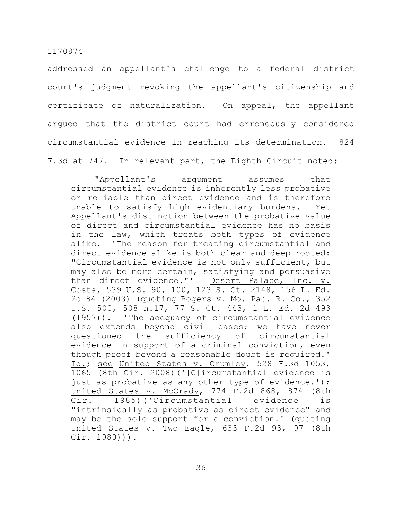addressed an appellant's challenge to a federal district court's judgment revoking the appellant's citizenship and certificate of naturalization. On appeal, the appellant argued that the district court had erroneously considered circumstantial evidence in reaching its determination. 824 F.3d at 747. In relevant part, the Eighth Circuit noted:

"Appellant's argument assumes that circumstantial evidence is inherently less probative or reliable than direct evidence and is therefore unable to satisfy high evidentiary burdens. Yet Appellant's distinction between the probative value of direct and circumstantial evidence has no basis in the law, which treats both types of evidence alike. 'The reason for treating circumstantial and direct evidence alike is both clear and deep rooted: "Circumstantial evidence is not only sufficient, but may also be more certain, satisfying and persuasive than direct evidence."' Desert Palace, Inc. v. Costa, 539 U.S. 90, 100, 123 S. Ct. 2148, 156 L. Ed. 2d 84 (2003) (quoting Rogers v. Mo. Pac. R. Co., 352 U.S. 500, 508 n.17, 77 S. Ct. 443, 1 L. Ed. 2d 493 (1957)). 'The adequacy of circumstantial evidence also extends beyond civil cases; we have never questioned the sufficiency of circumstantial evidence in support of a criminal conviction, even though proof beyond a reasonable doubt is required.' Id.; see United States v. Crumley, 528 F.3d 1053, 1065 (8th Cir. 2008)('[C]ircumstantial evidence is just as probative as any other type of evidence.'); United States v. McCrady, 774 F.2d 868, 874 (8th Cir. 1985)('Circumstantial evidence is "intrinsically as probative as direct evidence" and may be the sole support for a conviction.' (quoting United States v. Two Eagle, 633 F.2d 93, 97 (8th Cir. 1980))).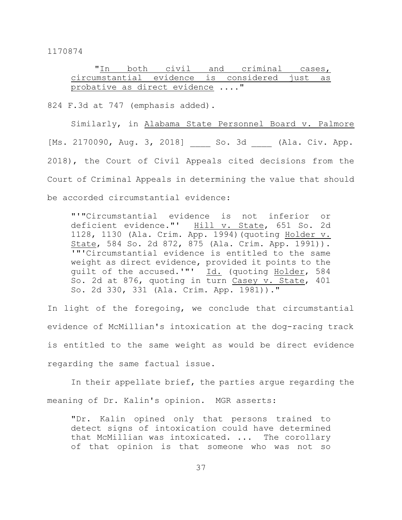|                                               |  |  | "In both civil and criminal cases, |  |  |
|-----------------------------------------------|--|--|------------------------------------|--|--|
| circumstantial evidence is considered just as |  |  |                                    |  |  |
| probative as direct evidence "                |  |  |                                    |  |  |

824 F.3d at 747 (emphasis added).

Similarly, in Alabama State Personnel Board v. Palmore [Ms. 2170090, Aug. 3, 2018] So. 3d (Ala. Civ. App. 2018), the Court of Civil Appeals cited decisions from the Court of Criminal Appeals in determining the value that should be accorded circumstantial evidence:

"'"Circumstantial evidence is not inferior or<br>deficient evidence."' Hill v. State, 651 So. 2d Hill v. State, 651 So. 2d 1128, 1130 (Ala. Crim. App. 1994)(quoting Holder v. State, 584 So. 2d 872, 875 (Ala. Crim. App. 1991)). '"'Circumstantial evidence is entitled to the same weight as direct evidence, provided it points to the guilt of the accused.'"' Id. (quoting Holder, 584 So. 2d at 876, quoting in turn Casey v. State, 401 So. 2d 330, 331 (Ala. Crim. App. 1981))."

In light of the foregoing, we conclude that circumstantial evidence of McMillian's intoxication at the dog-racing track is entitled to the same weight as would be direct evidence regarding the same factual issue.

In their appellate brief, the parties argue regarding the meaning of Dr. Kalin's opinion. MGR asserts:

"Dr. Kalin opined only that persons trained to detect signs of intoxication could have determined that McMillian was intoxicated. ... The corollary of that opinion is that someone who was not so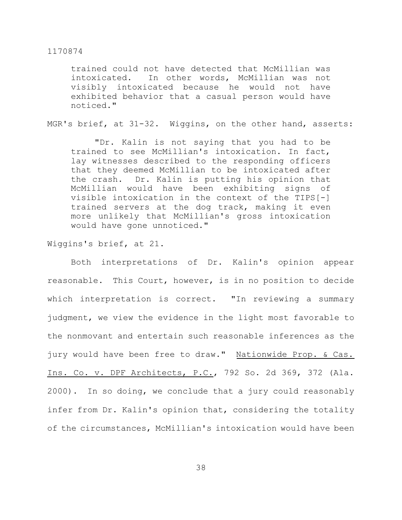trained could not have detected that McMillian was intoxicated. In other words, McMillian was not visibly intoxicated because he would not have exhibited behavior that a casual person would have noticed."

MGR's brief, at 31-32. Wiggins, on the other hand, asserts:

"Dr. Kalin is not saying that you had to be trained to see McMillian's intoxication. In fact, lay witnesses described to the responding officers that they deemed McMillian to be intoxicated after the crash. Dr. Kalin is putting his opinion that McMillian would have been exhibiting signs of visible intoxication in the context of the TIPS[-] trained servers at the dog track, making it even more unlikely that McMillian's gross intoxication would have gone unnoticed."

Wiggins's brief, at 21.

Both interpretations of Dr. Kalin's opinion appear reasonable. This Court, however, is in no position to decide which interpretation is correct. "In reviewing a summary judgment, we view the evidence in the light most favorable to the nonmovant and entertain such reasonable inferences as the jury would have been free to draw." Nationwide Prop. & Cas. Ins. Co. v. DPF Architects, P.C., 792 So. 2d 369, 372 (Ala. 2000). In so doing, we conclude that a jury could reasonably infer from Dr. Kalin's opinion that, considering the totality of the circumstances, McMillian's intoxication would have been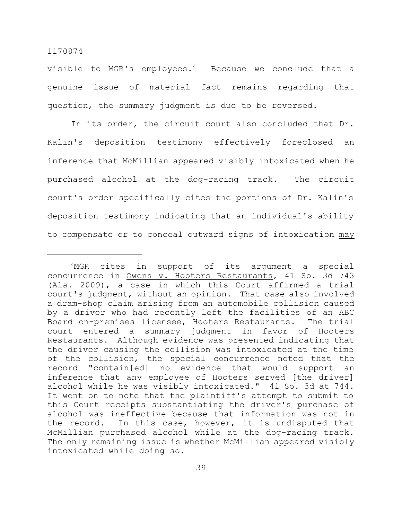visible to MGR's employees. $4$  Because we conclude that a genuine issue of material fact remains regarding that question, the summary judgment is due to be reversed.

In its order, the circuit court also concluded that Dr. Kalin's deposition testimony effectively foreclosed an inference that McMillian appeared visibly intoxicated when he purchased alcohol at the dog-racing track. The circuit court's order specifically cites the portions of Dr. Kalin's deposition testimony indicating that an individual's ability to compensate or to conceal outward signs of intoxication may

<sup>&</sup>lt;sup>4</sup>MGR cites in support of its argument a special concurrence in Owens v. Hooters Restaurants, 41 So. 3d 743 (Ala. 2009), a case in which this Court affirmed a trial court's judgment, without an opinion. That case also involved a dram-shop claim arising from an automobile collision caused by a driver who had recently left the facilities of an ABC Board on-premises licensee, Hooters Restaurants. The trial court entered a summary judgment in favor of Hooters Restaurants. Although evidence was presented indicating that the driver causing the collision was intoxicated at the time of the collision, the special concurrence noted that the record "contain[ed] no evidence that would support an inference that any employee of Hooters served [the driver] alcohol while he was visibly intoxicated." 41 So. 3d at 744. It went on to note that the plaintiff's attempt to submit to this Court receipts substantiating the driver's purchase of alcohol was ineffective because that information was not in the record. In this case, however, it is undisputed that McMillian purchased alcohol while at the dog-racing track. The only remaining issue is whether McMillian appeared visibly intoxicated while doing so.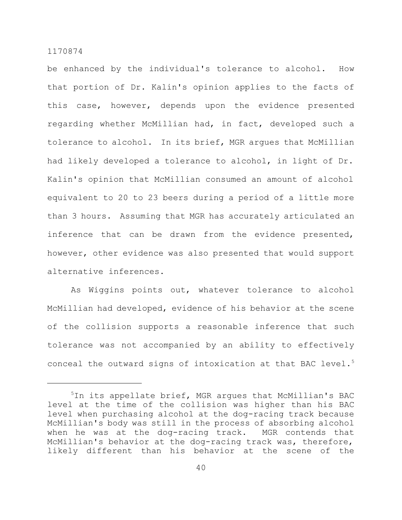be enhanced by the individual's tolerance to alcohol. How that portion of Dr. Kalin's opinion applies to the facts of this case, however, depends upon the evidence presented regarding whether McMillian had, in fact, developed such a tolerance to alcohol. In its brief, MGR argues that McMillian had likely developed a tolerance to alcohol, in light of Dr. Kalin's opinion that McMillian consumed an amount of alcohol equivalent to 20 to 23 beers during a period of a little more than 3 hours. Assuming that MGR has accurately articulated an inference that can be drawn from the evidence presented, however, other evidence was also presented that would support alternative inferences.

As Wiggins points out, whatever tolerance to alcohol McMillian had developed, evidence of his behavior at the scene of the collision supports a reasonable inference that such tolerance was not accompanied by an ability to effectively conceal the outward signs of intoxication at that BAC level. $5$ 

<sup>5</sup>In its appellate brief, MGR argues that McMillian's BAC level at the time of the collision was higher than his BAC level when purchasing alcohol at the dog-racing track because McMillian's body was still in the process of absorbing alcohol when he was at the dog-racing track. MGR contends that McMillian's behavior at the dog-racing track was, therefore, likely different than his behavior at the scene of the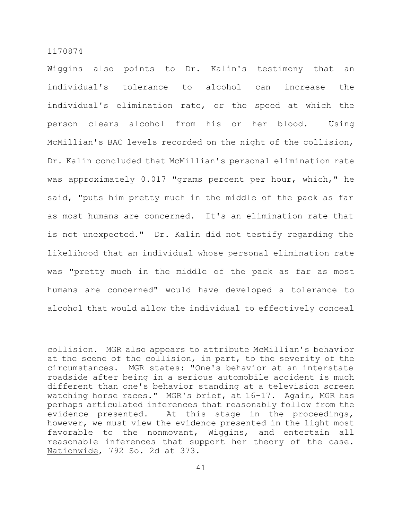Wiggins also points to Dr. Kalin's testimony that an individual's tolerance to alcohol can increase the individual's elimination rate, or the speed at which the person clears alcohol from his or her blood. Using McMillian's BAC levels recorded on the night of the collision, Dr. Kalin concluded that McMillian's personal elimination rate was approximately 0.017 "grams percent per hour, which," he said, "puts him pretty much in the middle of the pack as far as most humans are concerned. It's an elimination rate that is not unexpected." Dr. Kalin did not testify regarding the likelihood that an individual whose personal elimination rate was "pretty much in the middle of the pack as far as most humans are concerned" would have developed a tolerance to alcohol that would allow the individual to effectively conceal

collision. MGR also appears to attribute McMillian's behavior at the scene of the collision, in part, to the severity of the circumstances. MGR states: "One's behavior at an interstate roadside after being in a serious automobile accident is much different than one's behavior standing at a television screen watching horse races." MGR's brief, at 16-17. Again, MGR has perhaps articulated inferences that reasonably follow from the evidence presented. At this stage in the proceedings, however, we must view the evidence presented in the light most favorable to the nonmovant, Wiggins, and entertain all reasonable inferences that support her theory of the case. Nationwide, 792 So. 2d at 373.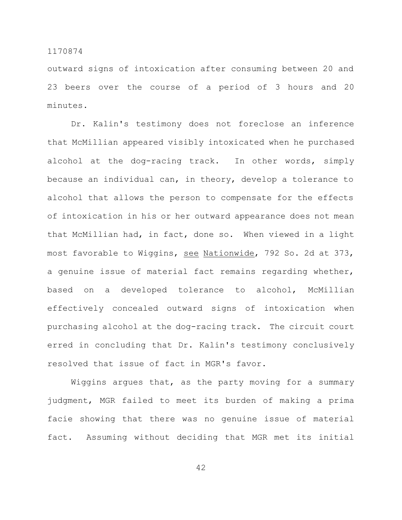outward signs of intoxication after consuming between 20 and 23 beers over the course of a period of 3 hours and 20 minutes.

Dr. Kalin's testimony does not foreclose an inference that McMillian appeared visibly intoxicated when he purchased alcohol at the dog-racing track. In other words, simply because an individual can, in theory, develop a tolerance to alcohol that allows the person to compensate for the effects of intoxication in his or her outward appearance does not mean that McMillian had, in fact, done so. When viewed in a light most favorable to Wiggins, see Nationwide, 792 So. 2d at 373, a genuine issue of material fact remains regarding whether, based on a developed tolerance to alcohol, McMillian effectively concealed outward signs of intoxication when purchasing alcohol at the dog-racing track. The circuit court erred in concluding that Dr. Kalin's testimony conclusively resolved that issue of fact in MGR's favor.

Wiggins argues that, as the party moving for a summary judgment, MGR failed to meet its burden of making a prima facie showing that there was no genuine issue of material fact. Assuming without deciding that MGR met its initial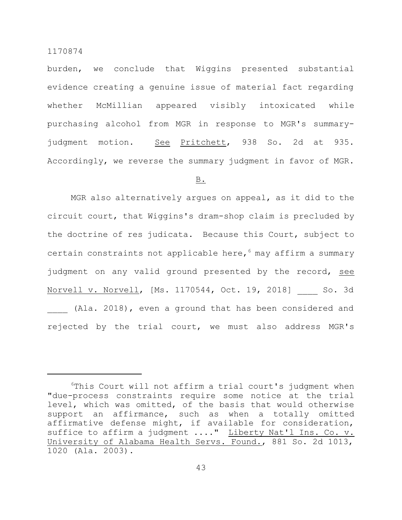burden, we conclude that Wiggins presented substantial evidence creating a genuine issue of material fact regarding whether McMillian appeared visibly intoxicated while purchasing alcohol from MGR in response to MGR's summaryjudgment motion. See Pritchett, 938 So. 2d at 935. Accordingly, we reverse the summary judgment in favor of MGR.

## B.

MGR also alternatively argues on appeal, as it did to the circuit court, that Wiggins's dram-shop claim is precluded by the doctrine of res judicata. Because this Court, subject to certain constraints not applicable here,  $6$  may affirm a summary judgment on any valid ground presented by the record, see Norvell v. Norvell, [Ms. 1170544, Oct. 19, 2018] So. 3d (Ala. 2018), even a ground that has been considered and rejected by the trial court, we must also address MGR's

 $6$ This Court will not affirm a trial court's judgment when "due-process constraints require some notice at the trial level, which was omitted, of the basis that would otherwise support an affirmance, such as when a totally omitted affirmative defense might, if available for consideration, suffice to affirm a judgment ...." Liberty Nat'l Ins. Co. v. University of Alabama Health Servs. Found., 881 So. 2d 1013, 1020 (Ala. 2003).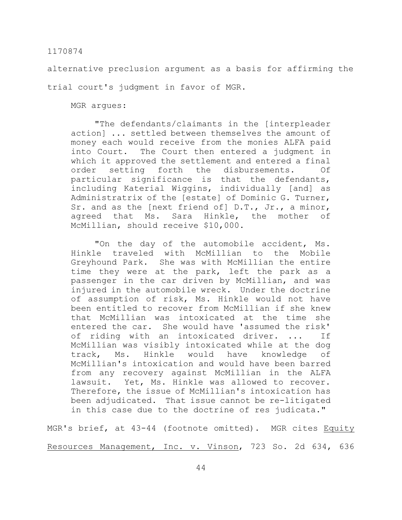alternative preclusion argument as a basis for affirming the

trial court's judgment in favor of MGR.

MGR argues:

"The defendants/claimants in the [interpleader action] ... settled between themselves the amount of money each would receive from the monies ALFA paid into Court. The Court then entered a judgment in which it approved the settlement and entered a final order setting forth the disbursements. Of particular significance is that the defendants, including Katerial Wiggins, individually [and] as Administratrix of the [estate] of Dominic G. Turner, Sr. and as the [next friend of] D.T., Jr., a minor, agreed that Ms. Sara Hinkle, the mother of McMillian, should receive \$10,000.

"On the day of the automobile accident, Ms. Hinkle traveled with McMillian to the Mobile Greyhound Park. She was with McMillian the entire time they were at the park, left the park as a passenger in the car driven by McMillian, and was injured in the automobile wreck. Under the doctrine of assumption of risk, Ms. Hinkle would not have been entitled to recover from McMillian if she knew that McMillian was intoxicated at the time she entered the car. She would have 'assumed the risk' of riding with an intoxicated driver. ... If McMillian was visibly intoxicated while at the dog track, Ms. Hinkle would have knowledge of McMillian's intoxication and would have been barred from any recovery against McMillian in the ALFA lawsuit. Yet, Ms. Hinkle was allowed to recover. Therefore, the issue of McMillian's intoxication has been adjudicated. That issue cannot be re-litigated in this case due to the doctrine of res judicata."

MGR's brief, at 43-44 (footnote omitted). MGR cites Equity Resources Management, Inc. v. Vinson, 723 So. 2d 634, 636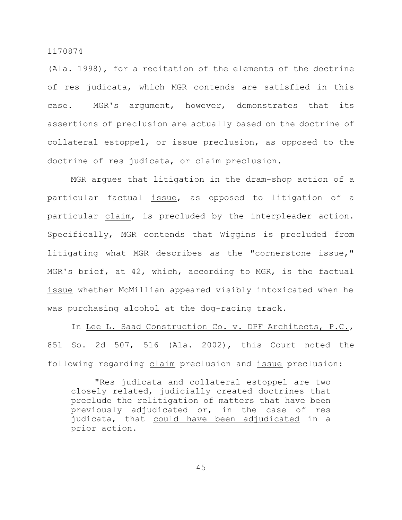(Ala. 1998), for a recitation of the elements of the doctrine of res judicata, which MGR contends are satisfied in this case. MGR's argument, however, demonstrates that its assertions of preclusion are actually based on the doctrine of collateral estoppel, or issue preclusion, as opposed to the doctrine of res judicata, or claim preclusion.

MGR argues that litigation in the dram-shop action of a particular factual issue, as opposed to litigation of a particular claim, is precluded by the interpleader action. Specifically, MGR contends that Wiggins is precluded from litigating what MGR describes as the "cornerstone issue," MGR's brief, at 42, which, according to MGR, is the factual issue whether McMillian appeared visibly intoxicated when he was purchasing alcohol at the dog-racing track.

In Lee L. Saad Construction Co. v. DPF Architects, P.C., 851 So. 2d 507, 516 (Ala. 2002), this Court noted the following regarding claim preclusion and issue preclusion:

"Res judicata and collateral estoppel are two closely related, judicially created doctrines that preclude the relitigation of matters that have been previously adjudicated or, in the case of res judicata, that could have been adjudicated in a prior action.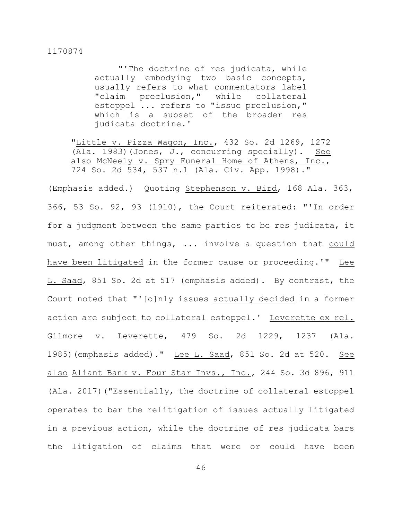"'The doctrine of res judicata, while actually embodying two basic concepts, usually refers to what commentators label "claim preclusion," while collateral estoppel ... refers to "issue preclusion," which is a subset of the broader res judicata doctrine.'

"Little v. Pizza Wagon, Inc., 432 So. 2d 1269, 1272 (Ala. 1983)(Jones, J., concurring specially). See also McNeely v. Spry Funeral Home of Athens, Inc., 724 So. 2d 534, 537 n.1 (Ala. Civ. App. 1998)."

(Emphasis added.) Quoting Stephenson v. Bird, 168 Ala. 363, 366, 53 So. 92, 93 (1910), the Court reiterated: "'In order for a judgment between the same parties to be res judicata, it must, among other things, ... involve a question that could have been litigated in the former cause or proceeding.'" Lee L. Saad, 851 So. 2d at 517 (emphasis added). By contrast, the Court noted that "'[o]nly issues actually decided in a former action are subject to collateral estoppel.' Leverette ex rel. Gilmore v. Leverette, 479 So. 2d 1229, 1237 (Ala. 1985) (emphasis added)." Lee L. Saad, 851 So. 2d at 520. See also Aliant Bank v. Four Star Invs., Inc., 244 So. 3d 896, 911 (Ala. 2017)("Essentially, the doctrine of collateral estoppel operates to bar the relitigation of issues actually litigated in a previous action, while the doctrine of res judicata bars the litigation of claims that were or could have been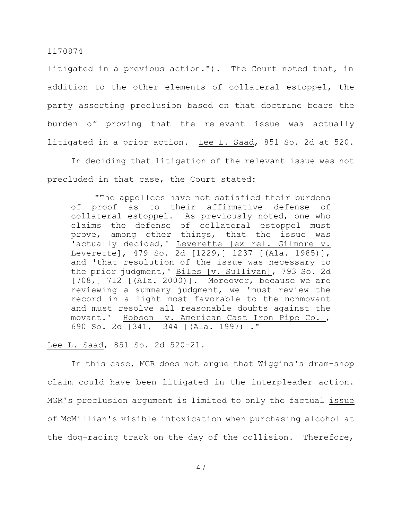litigated in a previous action."). The Court noted that, in addition to the other elements of collateral estoppel, the party asserting preclusion based on that doctrine bears the burden of proving that the relevant issue was actually litigated in a prior action. Lee L. Saad, 851 So. 2d at 520.

In deciding that litigation of the relevant issue was not precluded in that case, the Court stated:

"The appellees have not satisfied their burdens of proof as to their affirmative defense of collateral estoppel. As previously noted, one who claims the defense of collateral estoppel must prove, among other things, that the issue was 'actually decided,' Leverette [ex rel. Gilmore v. Leverette], 479 So. 2d [1229,] 1237 [(Ala. 1985)], and 'that resolution of the issue was necessary to the prior judgment,' Biles [v. Sullivan], 793 So. 2d [708,] 712 [(Ala. 2000)]. Moreover, because we are reviewing a summary judgment, we 'must review the record in a light most favorable to the nonmovant and must resolve all reasonable doubts against the movant.' Hobson [v. American Cast Iron Pipe Co.], 690 So. 2d [341,] 344 [(Ala. 1997)]."

## Lee L. Saad, 851 So. 2d 520-21.

In this case, MGR does not argue that Wiggins's dram-shop claim could have been litigated in the interpleader action. MGR's preclusion argument is limited to only the factual issue of McMillian's visible intoxication when purchasing alcohol at the dog-racing track on the day of the collision. Therefore,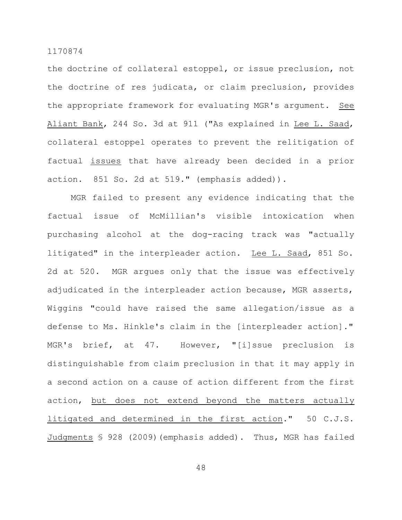the doctrine of collateral estoppel, or issue preclusion, not the doctrine of res judicata, or claim preclusion, provides the appropriate framework for evaluating MGR's argument. See Aliant Bank, 244 So. 3d at 911 ("As explained in Lee L. Saad, collateral estoppel operates to prevent the relitigation of factual issues that have already been decided in a prior action. 851 So. 2d at 519." (emphasis added)).

MGR failed to present any evidence indicating that the factual issue of McMillian's visible intoxication when purchasing alcohol at the dog-racing track was "actually litigated" in the interpleader action. Lee L. Saad, 851 So. 2d at 520. MGR argues only that the issue was effectively adjudicated in the interpleader action because, MGR asserts, Wiggins "could have raised the same allegation/issue as a defense to Ms. Hinkle's claim in the [interpleader action]." MGR's brief, at 47. However, "[i]ssue preclusion is distinguishable from claim preclusion in that it may apply in a second action on a cause of action different from the first action, but does not extend beyond the matters actually litigated and determined in the first action." 50 C.J.S. Judgments § 928 (2009)(emphasis added). Thus, MGR has failed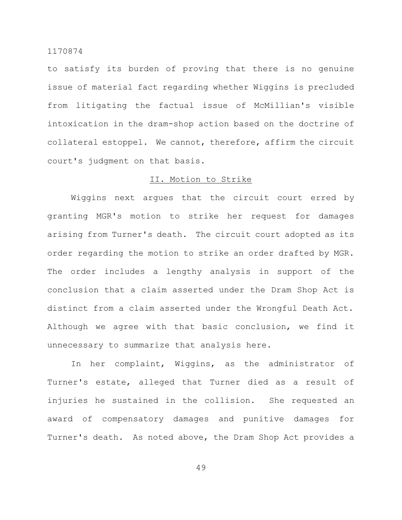to satisfy its burden of proving that there is no genuine issue of material fact regarding whether Wiggins is precluded from litigating the factual issue of McMillian's visible intoxication in the dram-shop action based on the doctrine of collateral estoppel. We cannot, therefore, affirm the circuit court's judgment on that basis.

## II. Motion to Strike

Wiggins next argues that the circuit court erred by granting MGR's motion to strike her request for damages arising from Turner's death. The circuit court adopted as its order regarding the motion to strike an order drafted by MGR. The order includes a lengthy analysis in support of the conclusion that a claim asserted under the Dram Shop Act is distinct from a claim asserted under the Wrongful Death Act. Although we agree with that basic conclusion, we find it unnecessary to summarize that analysis here.

In her complaint, Wiggins, as the administrator of Turner's estate, alleged that Turner died as a result of injuries he sustained in the collision. She requested an award of compensatory damages and punitive damages for Turner's death. As noted above, the Dram Shop Act provides a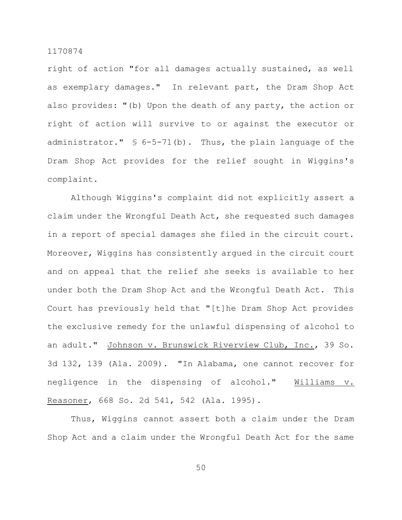right of action "for all damages actually sustained, as well as exemplary damages." In relevant part, the Dram Shop Act also provides: "(b) Upon the death of any party, the action or right of action will survive to or against the executor or administrator."  $\frac{1}{2}$  6-5-71(b). Thus, the plain language of the Dram Shop Act provides for the relief sought in Wiggins's complaint.

Although Wiggins's complaint did not explicitly assert a claim under the Wrongful Death Act, she requested such damages in a report of special damages she filed in the circuit court. Moreover, Wiggins has consistently argued in the circuit court and on appeal that the relief she seeks is available to her under both the Dram Shop Act and the Wrongful Death Act. This Court has previously held that "[t]he Dram Shop Act provides the exclusive remedy for the unlawful dispensing of alcohol to an adult." Johnson v. Brunswick Riverview Club, Inc., 39 So. 3d 132, 139 (Ala. 2009). "In Alabama, one cannot recover for negligence in the dispensing of alcohol." Williams v. Reasoner, 668 So. 2d 541, 542 (Ala. 1995).

Thus, Wiggins cannot assert both a claim under the Dram Shop Act and a claim under the Wrongful Death Act for the same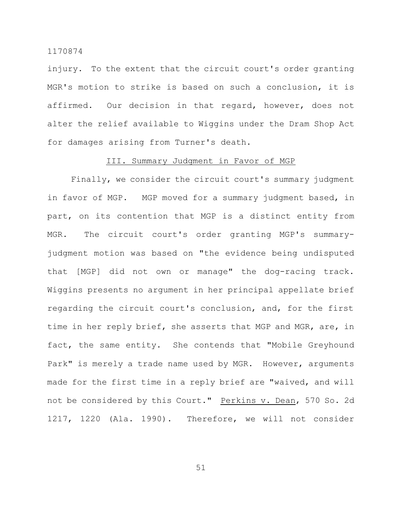injury. To the extent that the circuit court's order granting MGR's motion to strike is based on such a conclusion, it is affirmed. Our decision in that regard, however, does not alter the relief available to Wiggins under the Dram Shop Act for damages arising from Turner's death.

### III. Summary Judgment in Favor of MGP

Finally, we consider the circuit court's summary judgment in favor of MGP. MGP moved for a summary judgment based, in part, on its contention that MGP is a distinct entity from MGR. The circuit court's order granting MGP's summaryjudgment motion was based on "the evidence being undisputed that [MGP] did not own or manage" the dog-racing track. Wiggins presents no argument in her principal appellate brief regarding the circuit court's conclusion, and, for the first time in her reply brief, she asserts that MGP and MGR, are, in fact, the same entity. She contends that "Mobile Greyhound Park" is merely a trade name used by MGR. However, arguments made for the first time in a reply brief are "waived, and will not be considered by this Court." Perkins v. Dean, 570 So. 2d 1217, 1220 (Ala. 1990). Therefore, we will not consider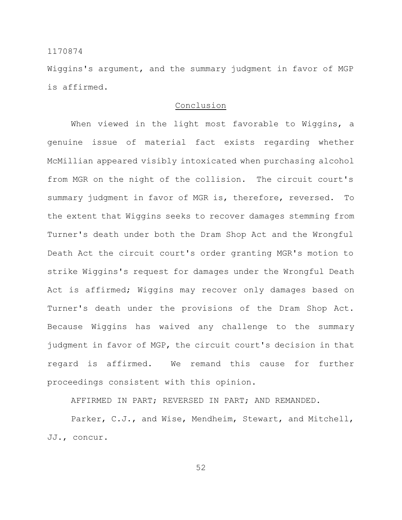Wiggins's argument, and the summary judgment in favor of MGP is affirmed.

## Conclusion

When viewed in the light most favorable to Wiggins, a genuine issue of material fact exists regarding whether McMillian appeared visibly intoxicated when purchasing alcohol from MGR on the night of the collision. The circuit court's summary judgment in favor of MGR is, therefore, reversed. To the extent that Wiggins seeks to recover damages stemming from Turner's death under both the Dram Shop Act and the Wrongful Death Act the circuit court's order granting MGR's motion to strike Wiggins's request for damages under the Wrongful Death Act is affirmed; Wiggins may recover only damages based on Turner's death under the provisions of the Dram Shop Act. Because Wiggins has waived any challenge to the summary judgment in favor of MGP, the circuit court's decision in that regard is affirmed. We remand this cause for further proceedings consistent with this opinion.

AFFIRMED IN PART; REVERSED IN PART; AND REMANDED.

Parker, C.J., and Wise, Mendheim, Stewart, and Mitchell, JJ., concur.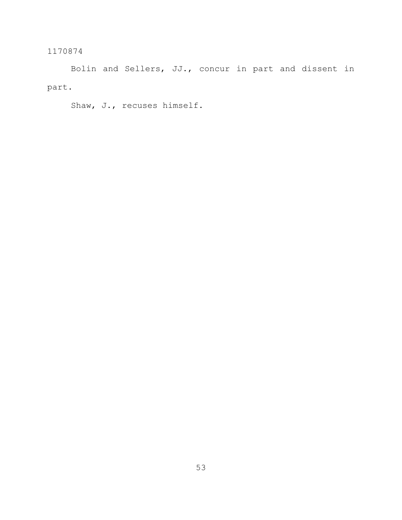Bolin and Sellers, JJ., concur in part and dissent in part.

Shaw, J., recuses himself.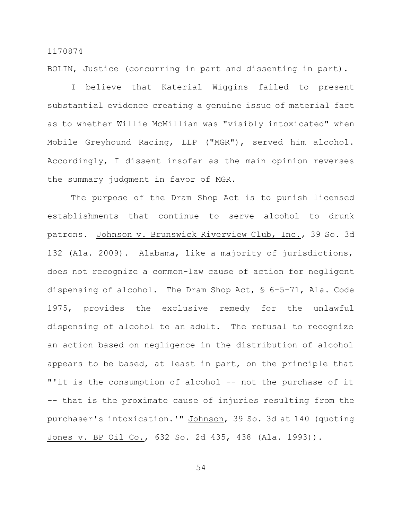BOLIN, Justice (concurring in part and dissenting in part).

I believe that Katerial Wiggins failed to present substantial evidence creating a genuine issue of material fact as to whether Willie McMillian was "visibly intoxicated" when Mobile Greyhound Racing, LLP ("MGR"), served him alcohol. Accordingly, I dissent insofar as the main opinion reverses the summary judgment in favor of MGR.

The purpose of the Dram Shop Act is to punish licensed establishments that continue to serve alcohol to drunk patrons. Johnson v. Brunswick Riverview Club, Inc., 39 So. 3d 132 (Ala. 2009). Alabama, like a majority of jurisdictions, does not recognize a common-law cause of action for negligent dispensing of alcohol. The Dram Shop Act, § 6-5-71, Ala. Code 1975, provides the exclusive remedy for the unlawful dispensing of alcohol to an adult. The refusal to recognize an action based on negligence in the distribution of alcohol appears to be based, at least in part, on the principle that "'it is the consumption of alcohol -- not the purchase of it -- that is the proximate cause of injuries resulting from the purchaser's intoxication.'" Johnson, 39 So. 3d at 140 (quoting Jones v. BP Oil Co., 632 So. 2d 435, 438 (Ala. 1993)).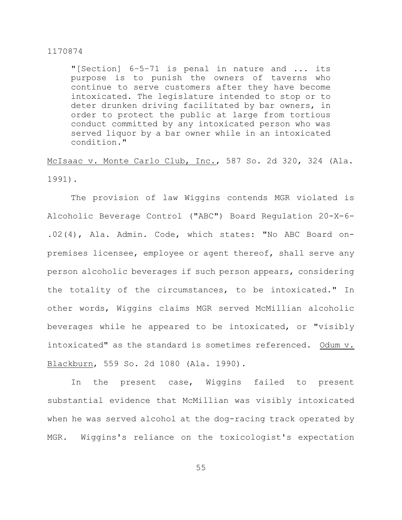"[Section] 6–5–71 is penal in nature and ... its purpose is to punish the owners of taverns who continue to serve customers after they have become intoxicated. The legislature intended to stop or to deter drunken driving facilitated by bar owners, in order to protect the public at large from tortious conduct committed by any intoxicated person who was served liquor by a bar owner while in an intoxicated condition."

McIsaac v. Monte Carlo Club, Inc., 587 So. 2d 320, 324 (Ala. 1991).

The provision of law Wiggins contends MGR violated is Alcoholic Beverage Control ("ABC") Board Regulation 20-X-6- .02(4), Ala. Admin. Code, which states: "No ABC Board onpremises licensee, employee or agent thereof, shall serve any person alcoholic beverages if such person appears, considering the totality of the circumstances, to be intoxicated." In other words, Wiggins claims MGR served McMillian alcoholic beverages while he appeared to be intoxicated, or "visibly intoxicated" as the standard is sometimes referenced. Odum v. Blackburn, 559 So. 2d 1080 (Ala. 1990).

In the present case, Wiggins failed to present substantial evidence that McMillian was visibly intoxicated when he was served alcohol at the dog-racing track operated by MGR. Wiggins's reliance on the toxicologist's expectation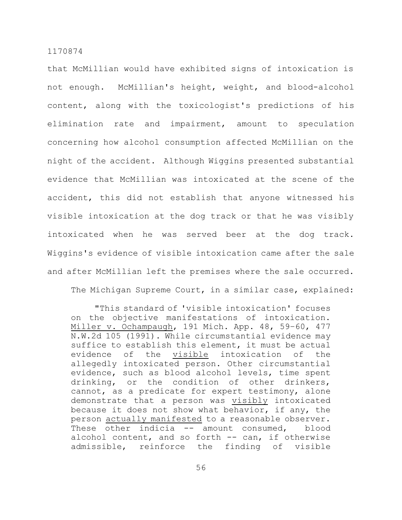that McMillian would have exhibited signs of intoxication is not enough. McMillian's height, weight, and blood-alcohol content, along with the toxicologist's predictions of his elimination rate and impairment, amount to speculation concerning how alcohol consumption affected McMillian on the night of the accident. Although Wiggins presented substantial evidence that McMillian was intoxicated at the scene of the accident, this did not establish that anyone witnessed his visible intoxication at the dog track or that he was visibly intoxicated when he was served beer at the dog track. Wiggins's evidence of visible intoxication came after the sale and after McMillian left the premises where the sale occurred.

The Michigan Supreme Court, in a similar case, explained:

"This standard of 'visible intoxication' focuses on the objective manifestations of intoxication. Miller v. Ochampaugh, 191 Mich. App. 48, 59–60, 477 N.W.2d 105 (1991). While circumstantial evidence may suffice to establish this element, it must be actual evidence of the visible intoxication of the allegedly intoxicated person. Other circumstantial evidence, such as blood alcohol levels, time spent drinking, or the condition of other drinkers, cannot, as a predicate for expert testimony, alone demonstrate that a person was visibly intoxicated because it does not show what behavior, if any, the person actually manifested to a reasonable observer. These other indicia -- amount consumed, blood alcohol content, and so forth -- can, if otherwise admissible, reinforce the finding of visible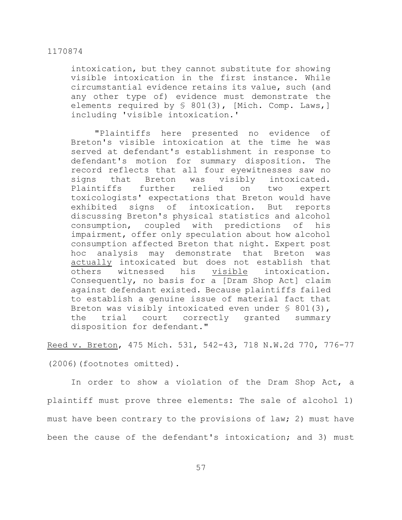intoxication, but they cannot substitute for showing visible intoxication in the first instance. While circumstantial evidence retains its value, such (and any other type of) evidence must demonstrate the elements required by § 801(3), [Mich. Comp. Laws, ] including 'visible intoxication.'

"Plaintiffs here presented no evidence of Breton's visible intoxication at the time he was served at defendant's establishment in response to defendant's motion for summary disposition. The record reflects that all four eyewitnesses saw no signs that Breton was visibly intoxicated. Plaintiffs further relied on two expert toxicologists' expectations that Breton would have exhibited signs of intoxication. But reports discussing Breton's physical statistics and alcohol consumption, coupled with predictions of his impairment, offer only speculation about how alcohol consumption affected Breton that night. Expert post hoc analysis may demonstrate that Breton was actually intoxicated but does not establish that others witnessed his visible intoxication. Consequently, no basis for a [Dram Shop Act] claim against defendant existed. Because plaintiffs failed to establish a genuine issue of material fact that Breton was visibly intoxicated even under  $\frac{1}{5}$  801(3), the trial court correctly granted summary disposition for defendant."

Reed v. Breton, 475 Mich. 531, 542-43, 718 N.W.2d 770, 776-77

(2006)(footnotes omitted).

In order to show a violation of the Dram Shop Act, a plaintiff must prove three elements: The sale of alcohol 1) must have been contrary to the provisions of law; 2) must have been the cause of the defendant's intoxication; and 3) must